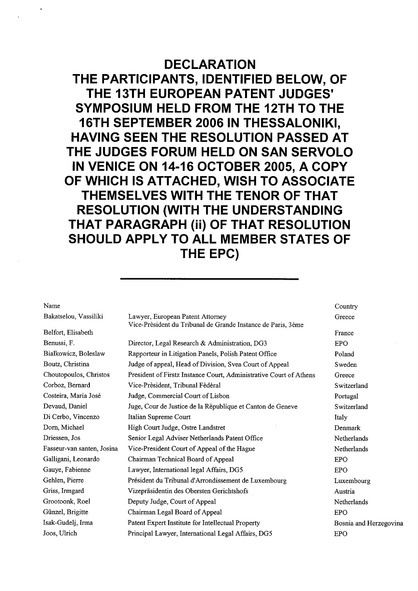## DECLARATION

THE PARTICIPANTS, IDENTIFIED BELOW, OF THE 13TH EUROPEAN PATENT JUDGES' SYMPOSIUM HELD FROM THE 12TH TO THE 16TH SEPTEMBER 2006 IN THESSALONIKI, HAVING SEEN THE RESOLUTION PASSED AT THE JUDGES FORUM HELD ON SAN SERVOLO IN VENICE ON 14-16 OCTOBER 2005, A COPY OF WHICH IS ATTACHED, WISH TO ASSOCIATE THEMSELVES WITH THE TENOR OF THAT RESOLUTION (WITH THE UNDERSTANDING THAT PARAGRAPH (ii) OF THAT RESOLUTION SHOULD APPLY TO ALL MEMBER STATES OF THE EPC)

Name

| Lawyer, European Patent Attorney                                   | Greece                                                       |
|--------------------------------------------------------------------|--------------------------------------------------------------|
|                                                                    |                                                              |
|                                                                    | France                                                       |
| Director, Legal Research & Administration, DG3                     | <b>EPO</b>                                                   |
| Rapporteur in Litigation Panels, Polish Patent Office              | Poland                                                       |
| Judge of appeal, Head of Division, Svea Court of Appeal            | Sweden                                                       |
| President of Firstz Instance Court, Administrative Court of Athens | Greece                                                       |
| Vice-Prèsident, Tribunal Fèdèral                                   | Switzerland                                                  |
| Judge, Commercial Court of Lisbon                                  | Portugal                                                     |
| Juge, Cour de Justice de la Rèpublique et Canton de Geneve         | Switzerland                                                  |
| Italian Supreme Court                                              | Italy                                                        |
| High Court Judge, Ostre Landstret                                  | Denmark                                                      |
| Senior Legal Adviser Netherlands Patent Office                     | Netherlands                                                  |
| Vice-President Court of Appeal of the Hague                        | Netherlands                                                  |
| Chairman Technical Board of Appeal                                 | <b>EPO</b>                                                   |
| Lawyer, International legal Affairs, DG5                           | EPO                                                          |
| Président du Tribunal d'Arrondissement de Luxembourg               | Luxembourg                                                   |
| Vizepräsidentin des Obersten Gerichtshofs                          | Austria                                                      |
| Deputy Judge, Court of Appeal                                      | Netherlands                                                  |
| Chairman Legal Board of Appeal                                     | <b>EPO</b>                                                   |
| Patent Expert Institute for Intellectual Property                  | Bosnia and Herzegovina                                       |
| Principal Lawyer, International Legal Affairs, DG5                 | <b>EPO</b>                                                   |
|                                                                    | Vice-Prèsident du Tribunal de Grande Instance de Paris, 3ème |

**Country**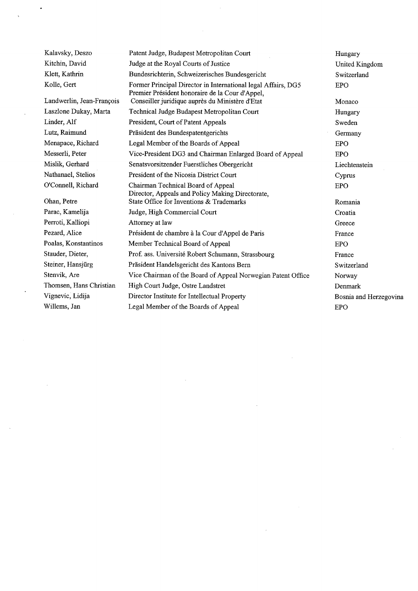Kalavsky, Deszo Kitchin, David Klett, Kathrin Kolle, Gert Landwerlin, Jean-François Laszlone Dukay, Marta Linder, Alf Lutz, Raimund Menapace, Richard Messerli, Peter Mislik, Gerhard Nathanael, Stelios O'Connell, Richard Ohan, Petre Parac, Kamelija Perroti, Kalliopi Pezard, Alice Poalas, Konstantinos Stauder, Dieter, Steiner, Hansjürg Stenvik, Are Thomsen, Hans Christian Vignevic, Lidija Willems, Jan Patent Judge, Budapest Metropolitan Court Judge at the Royal Courts of Justice Bundesrichterin, Schweizerisches Bundesgericht Former Principal Director in International legal Affairs, DG5 Premier Président honoraire de la Cour d'Appel, Conseiller juridique auprès du Ministère d'Etat Technical Judge Budapest Metropolitan Court President, Court of Patent Appeals Präsident des Bundespatentgerichts Legal Member of the Boards of Appeal Vice-President DG3 and Chairman Enlarged Board of Appeal Senatsvorsitzender Fuerstliches Obergericht President of the Nicosia District Court Chairman Technical Board of Appeal Director, Appeals and Policy Making Directorate, State Office for Inventions & Trademarks Judge, High Commercial Court Attorney at law Président de chambre à la Cour d'Appel de Paris Member Technical Board of Appeal Prof. ass. Université Robert Schumann, Strassbourg Präsident Handelsgericht des Kantons Bern Vice Chairman of the Board of Appeal Norwegian Patent Office High Court Judge, Ostre Landstret Director Institute for Intellectual Propert Legal Member of the Boards of Appeal Hungary United Kingdom Switzerland EPO Monaco Hungary Sweden Germany EPO EPO Liechtenstein Cyprus EPO Romania Croatia Greece France EPO France Switzerland Norway Denmark Bosnia and Herzegovina EPO